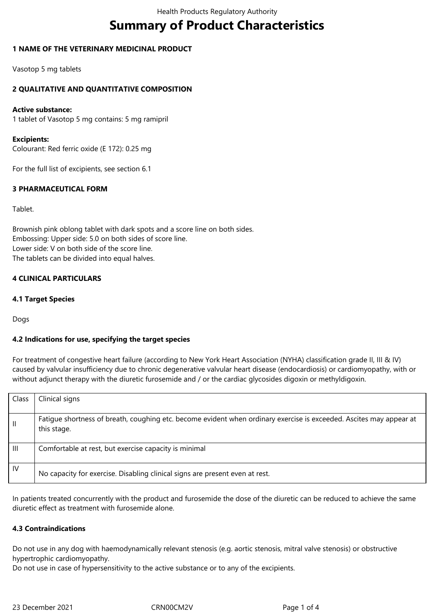# **Summary of Product Characteristics**

### **1 NAME OF THE VETERINARY MEDICINAL PRODUCT**

Vasotop 5 mg tablets

### **2 QUALITATIVE AND QUANTITATIVE COMPOSITION**

#### **Active substance:**

1 tablet of Vasotop 5 mg contains: 5 mg ramipril

#### **Excipients:**

Colourant: Red ferric oxide (E 172): 0.25 mg

For the full list of excipients, see section 6.1

# **3 PHARMACEUTICAL FORM**

Tablet.

Brownish pink oblong tablet with dark spots and a score line on both sides. Embossing: Upper side: 5.0 on both sides of score line. Lower side: V on both side of the score line. The tablets can be divided into equal halves.

#### **4 CLINICAL PARTICULARS**

#### **4.1 Target Species**

Dogs

#### **4.2 Indications for use, specifying the target species**

For treatment of congestive heart failure (according to New York Heart Association (NYHA) classification grade II, III & IV) caused by valvular insufficiency due to chronic degenerative valvular heart disease (endocardiosis) or cardiomyopathy, with or without adjunct therapy with the diuretic furosemide and / or the cardiac glycosides digoxin or methyldigoxin.

| Class        | Clinical signs                                                                                                                     |
|--------------|------------------------------------------------------------------------------------------------------------------------------------|
|              |                                                                                                                                    |
| $\mathbf{H}$ | Fatigue shortness of breath, coughing etc. become evident when ordinary exercise is exceeded. Ascites may appear at<br>this stage. |
| Ш            | Comfortable at rest, but exercise capacity is minimal                                                                              |
| IV           | No capacity for exercise. Disabling clinical signs are present even at rest.                                                       |

In patients treated concurrently with the product and furosemide the dose of the diuretic can be reduced to achieve the same diuretic effect as treatment with furosemide alone.

#### **4.3 Contraindications**

Do not use in any dog with haemodynamically relevant stenosis (e.g. aortic stenosis, mitral valve stenosis) or obstructive hypertrophic cardiomyopathy.

Do not use in case of hypersensitivity to the active substance or to any of the excipients.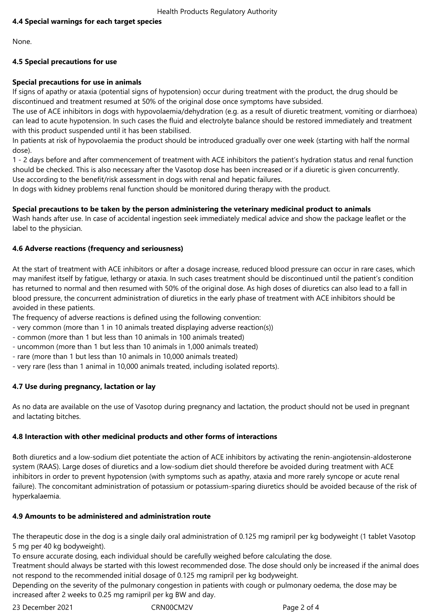# **4.4 Special warnings for each target species**

None.

# **4.5 Special precautions for use**

# **Special precautions for use in animals**

If signs of apathy or ataxia (potential signs of hypotension) occur during treatment with the product, the drug should be discontinued and treatment resumed at 50% of the original dose once symptoms have subsided.

The use of ACE inhibitors in dogs with hypovolaemia/dehydration (e.g. as a result of diuretic treatment, vomiting or diarrhoea) can lead to acute hypotension. In such cases the fluid and electrolyte balance should be restored immediately and treatment with this product suspended until it has been stabilised.

In patients at risk of hypovolaemia the product should be introduced gradually over one week (starting with half the normal dose).

1 - 2 days before and after commencement of treatment with ACE inhibitors the patient's hydration status and renal function should be checked. This is also necessary after the Vasotop dose has been increased or if a diuretic is given concurrently. Use according to the benefit/risk assessment in dogs with renal and hepatic failures.

In dogs with kidney problems renal function should be monitored during therapy with the product.

# **Special precautions to be taken by the person administering the veterinary medicinal product to animals**

Wash hands after use. In case of accidental ingestion seek immediately medical advice and show the package leaflet or the label to the physician.

# **4.6 Adverse reactions (frequency and seriousness)**

At the start of treatment with ACE inhibitors or after a dosage increase, reduced blood pressure can occur in rare cases, which may manifest itself by fatigue, lethargy or ataxia. In such cases treatment should be discontinued until the patient's condition has returned to normal and then resumed with 50% of the original dose. As high doses of diuretics can also lead to a fall in blood pressure, the concurrent administration of diuretics in the early phase of treatment with ACE inhibitors should be avoided in these patients.

The frequency of adverse reactions is defined using the following convention:

- very common (more than 1 in 10 animals treated displaying adverse reaction(s))
- common (more than 1 but less than 10 animals in 100 animals treated)
- uncommon (more than 1 but less than 10 animals in 1,000 animals treated)
- rare (more than 1 but less than 10 animals in 10,000 animals treated)
- very rare (less than 1 animal in 10,000 animals treated, including isolated reports).

# **4.7 Use during pregnancy, lactation or lay**

As no data are available on the use of Vasotop during pregnancy and lactation, the product should not be used in pregnant and lactating bitches.

# **4.8 Interaction with other medicinal products and other forms of interactions**

Both diuretics and a low-sodium diet potentiate the action of ACE inhibitors by activating the renin-angiotensin-aldosterone system (RAAS). Large doses of diuretics and a low-sodium diet should therefore be avoided during treatment with ACE inhibitors in order to prevent hypotension (with symptoms such as apathy, ataxia and more rarely syncope or acute renal failure). The concomitant administration of potassium or potassium-sparing diuretics should be avoided because of the risk of hyperkalaemia.

# **4.9 Amounts to be administered and administration route**

The therapeutic dose in the dog is a single daily oral administration of 0.125 mg ramipril per kg bodyweight (1 tablet Vasotop 5 mg per 40 kg bodyweight).

To ensure accurate dosing, each individual should be carefully weighed before calculating the dose.

Treatment should always be started with this lowest recommended dose. The dose should only be increased if the animal does not respond to the recommended initial dosage of 0.125 mg ramipril per kg bodyweight.

Depending on the severity of the pulmonary congestion in patients with cough or pulmonary oedema, the dose may be increased after 2 weeks to 0.25 mg ramipril per kg BW and day.

23 December 2021 CRN00CM2V Page 2 of 4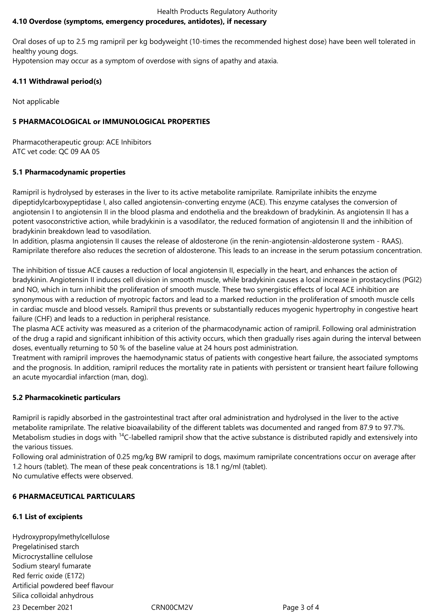#### Health Products Regulatory Authority **4.10 Overdose (symptoms, emergency procedures, antidotes), if necessary**

Oral doses of up to 2.5 mg ramipril per kg bodyweight (10-times the recommended highest dose) have been well tolerated in healthy young dogs.

Hypotension may occur as a symptom of overdose with signs of apathy and ataxia.

# **4.11 Withdrawal period(s)**

Not applicable

# **5 PHARMACOLOGICAL or IMMUNOLOGICAL PROPERTIES**

Pharmacotherapeutic group: ACE Inhibitors ATC vet code: QC 09 AA 05

# **5.1 Pharmacodynamic properties**

Ramipril is hydrolysed by esterases in the liver to its active metabolite ramiprilate. Ramiprilate inhibits the enzyme dipeptidylcarboxypeptidase I, also called angiotensin-converting enzyme (ACE). This enzyme catalyses the conversion of angiotensin I to angiotensin II in the blood plasma and endothelia and the breakdown of bradykinin. As angiotensin II has a potent vasoconstrictive action, while bradykinin is a vasodilator, the reduced formation of angiotensin II and the inhibition of bradykinin breakdown lead to vasodilation.

In addition, plasma angiotensin II causes the release of aldosterone (in the renin-angiotensin-aldosterone system - RAAS). Ramiprilate therefore also reduces the secretion of aldosterone. This leads to an increase in the serum potassium concentration.

The inhibition of tissue ACE causes a reduction of local angiotensin II, especially in the heart, and enhances the action of bradykinin. Angiotensin II induces cell division in smooth muscle, while bradykinin causes a local increase in prostacyclins (PGI2) and NO, which in turn inhibit the proliferation of smooth muscle. These two synergistic effects of local ACE inhibition are synonymous with a reduction of myotropic factors and lead to a marked reduction in the proliferation of smooth muscle cells in cardiac muscle and blood vessels. Ramipril thus prevents or substantially reduces myogenic hypertrophy in congestive heart failure (CHF) and leads to a reduction in peripheral resistance.

The plasma ACE activity was measured as a criterion of the pharmacodynamic action of ramipril. Following oral administration of the drug a rapid and significant inhibition of this activity occurs, which then gradually rises again during the interval between doses, eventually returning to 50 % of the baseline value at 24 hours post administration.

Treatment with ramipril improves the haemodynamic status of patients with congestive heart failure, the associated symptoms and the prognosis. In addition, ramipril reduces the mortality rate in patients with persistent or transient heart failure following an acute myocardial infarction (man, dog).

# **5.2 Pharmacokinetic particulars**

Ramipril is rapidly absorbed in the gastrointestinal tract after oral administration and hydrolysed in the liver to the active metabolite ramiprilate. The relative bioavailability of the different tablets was documented and ranged from 87.9 to 97.7%. Metabolism studies in dogs with <sup>14</sup>C-labelled ramipril show that the active substance is distributed rapidly and extensively into the various tissues.

Following oral administration of 0.25 mg/kg BW ramipril to dogs, maximum ramiprilate concentrations occur on average after 1.2 hours (tablet). The mean of these peak concentrations is 18.1 ng/ml (tablet). No cumulative effects were observed.

# **6 PHARMACEUTICAL PARTICULARS**

# **6.1 List of excipients**

23 December 2021 CRN00CM2V Page 3 of 4 Hydroxypropylmethylcellulose Pregelatinised starch Microcrystalline cellulose Sodium stearyl fumarate Red ferric oxide (E172) Artificial powdered beef flavour Silica colloidal anhydrous